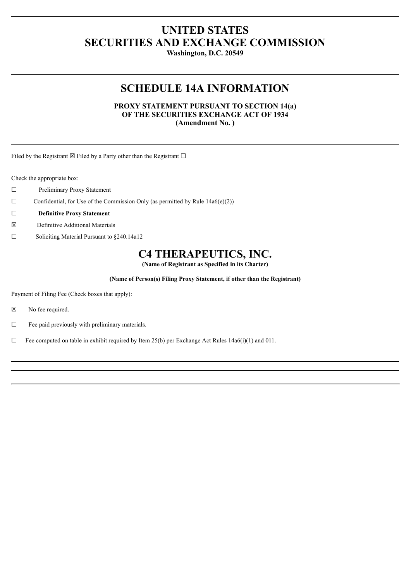# **UNITED STATES SECURITIES AND EXCHANGE COMMISSION**

**Washington, D.C. 20549**

# **SCHEDULE 14A INFORMATION**

### **PROXY STATEMENT PURSUANT TO SECTION 14(a) OF THE SECURITIES EXCHANGE ACT OF 1934 (Amendment No. )**

Filed by the Registrant  $\boxtimes$  Filed by a Party other than the Registrant  $\square$ 

Check the appropriate box:

- ☐ Preliminary Proxy Statement
- $\Box$  Confidential, for Use of the Commission Only (as permitted by Rule 14a6(e)(2))
- ☐ **Definitive Proxy Statement**
- ☒ Definitive Additional Materials
- ☐ Soliciting Material Pursuant to §240.14a12

# **C4 THERAPEUTICS, INC.**

**(Name of Registrant as Specified in its Charter)**

**(Name of Person(s) Filing Proxy Statement, if other than the Registrant)**

Payment of Filing Fee (Check boxes that apply):

- ☒ No fee required.
- $\Box$  Fee paid previously with preliminary materials.
- $\Box$  Fee computed on table in exhibit required by Item 25(b) per Exchange Act Rules 14a6(i)(1) and 011.